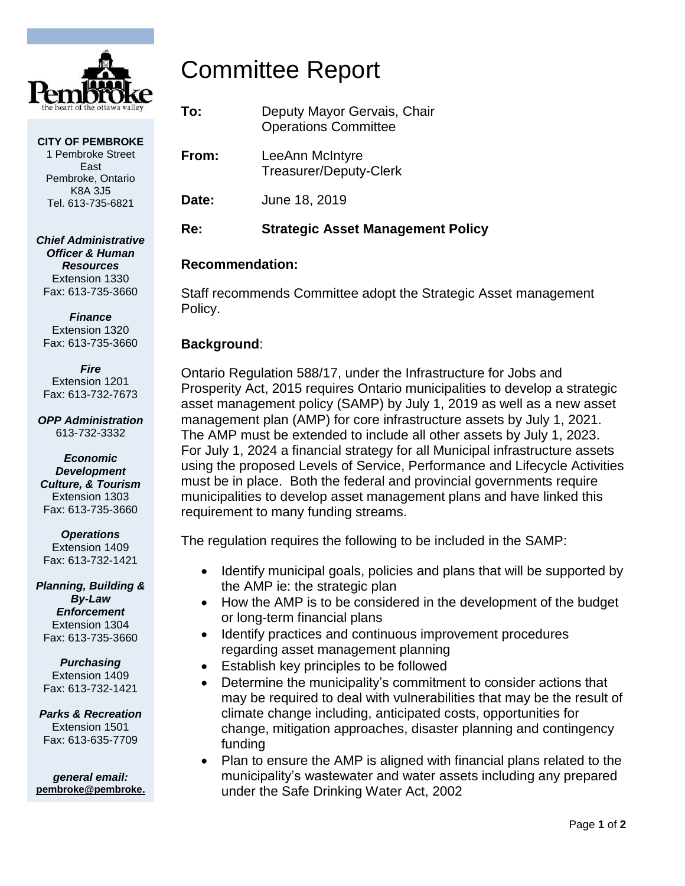

# Committee Report

**CITY OF PEMBROKE** 1 Pembroke Street East Pembroke, Ontario K8A 3J5 Tel. 613-735-6821

*Chief Administrative Officer & Human Resources* Extension 1330 Fax: 613-735-3660

*Finance* Extension 1320 Fax: 613-735-3660

*Fire* Extension 1201 Fax: 613-732-7673

*OPP Administration* 613-732-3332

*Economic Development Culture, & Tourism* Extension 1303 Fax: 613-735-3660

*Operations* Extension 1409 Fax: 613-732-1421

*Planning, Building & By-Law Enforcement* Extension 1304 Fax: 613-735-3660

*Purchasing* Extension 1409 Fax: 613-732-1421

*Parks & Recreation* Extension 1501 Fax: 613-635-7709

*general email:* **pembroke@pembroke.**

- **To:** Deputy Mayor Gervais, Chair Operations Committee
- **From:** LeeAnn McIntyre Treasurer/Deputy-Clerk

**Date:** June 18, 2019

# **Re: Strategic Asset Management Policy**

# **Recommendation:**

Staff recommends Committee adopt the Strategic Asset management Policy.

# **Background**:

Ontario Regulation 588/17, under the Infrastructure for Jobs and Prosperity Act, 2015 requires Ontario municipalities to develop a strategic asset management policy (SAMP) by July 1, 2019 as well as a new asset management plan (AMP) for core infrastructure assets by July 1, 2021. The AMP must be extended to include all other assets by July 1, 2023. For July 1, 2024 a financial strategy for all Municipal infrastructure assets using the proposed Levels of Service, Performance and Lifecycle Activities must be in place. Both the federal and provincial governments require municipalities to develop asset management plans and have linked this requirement to many funding streams.

The regulation requires the following to be included in the SAMP:

- Identify municipal goals, policies and plans that will be supported by the AMP ie: the strategic plan
- How the AMP is to be considered in the development of the budget or long-term financial plans
- Identify practices and continuous improvement procedures regarding asset management planning
- Establish key principles to be followed
- Determine the municipality's commitment to consider actions that may be required to deal with vulnerabilities that may be the result of climate change including, anticipated costs, opportunities for change, mitigation approaches, disaster planning and contingency funding
- Plan to ensure the AMP is aligned with financial plans related to the municipality's wastewater and water assets including any prepared under the Safe Drinking Water Act, 2002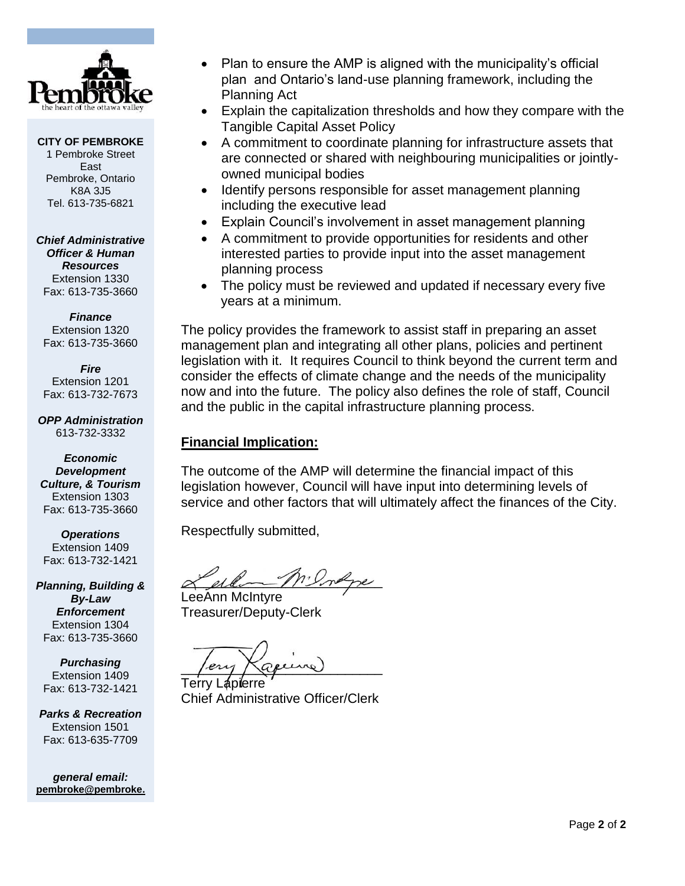

**CITY OF PEMBROKE** 1 Pembroke Street East Pembroke, Ontario K8A 3J5 Tel. 613-735-6821

*Chief Administrative Officer & Human Resources* Extension 1330 Fax: 613-735-3660

*Finance* Extension 1320 Fax: 613-735-3660

*Fire* Extension 1201 Fax: 613-732-7673

*OPP Administration* 613-732-3332

*Economic Development Culture, & Tourism* Extension 1303 Fax: 613-735-3660

*Operations* Extension 1409 Fax: 613-732-1421

*Planning, Building & By-Law Enforcement* Extension 1304 Fax: 613-735-3660

*Purchasing* Extension 1409 Fax: 613-732-1421

*Parks & Recreation* Extension 1501 Fax: 613-635-7709

*general email:* **pembroke@pembroke.**

- Plan to ensure the AMP is aligned with the municipality's official plan and Ontario's land-use planning framework, including the Planning Act
- Explain the capitalization thresholds and how they compare with the Tangible Capital Asset Policy
- A commitment to coordinate planning for infrastructure assets that are connected or shared with neighbouring municipalities or jointlyowned municipal bodies
- Identify persons responsible for asset management planning including the executive lead
- Explain Council's involvement in asset management planning
- A commitment to provide opportunities for residents and other interested parties to provide input into the asset management planning process
- The policy must be reviewed and updated if necessary every five years at a minimum.

The policy provides the framework to assist staff in preparing an asset management plan and integrating all other plans, policies and pertinent legislation with it. It requires Council to think beyond the current term and consider the effects of climate change and the needs of the municipality now and into the future. The policy also defines the role of staff, Council and the public in the capital infrastructure planning process.

# **Financial Implication:**

The outcome of the AMP will determine the financial impact of this legislation however, Council will have input into determining levels of service and other factors that will ultimately affect the finances of the City.

Respectfully submitted,

Letter M' rape

LeeAnn McIntyre Treasurer/Deputy-Clerk

 $\mu$ ery Rapeire

Terry Lapierre Chief Administrative Officer/Clerk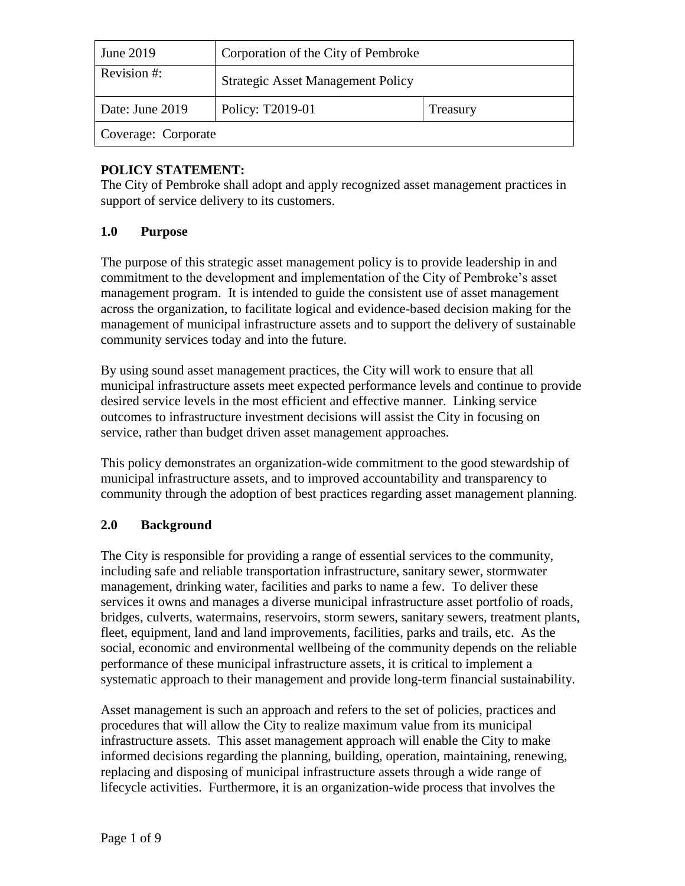| June 2019           | Corporation of the City of Pembroke      |          |
|---------------------|------------------------------------------|----------|
| Revision #:         | <b>Strategic Asset Management Policy</b> |          |
| Date: June 2019     | Policy: T2019-01                         | Treasury |
| Coverage: Corporate |                                          |          |

## **POLICY STATEMENT:**

The City of Pembroke shall adopt and apply recognized asset management practices in support of service delivery to its customers.

# **1.0 Purpose**

The purpose of this strategic asset management policy is to provide leadership in and commitment to the development and implementation of the City of Pembroke's asset management program. It is intended to guide the consistent use of asset management across the organization, to facilitate logical and evidence-based decision making for the management of municipal infrastructure assets and to support the delivery of sustainable community services today and into the future.

By using sound asset management practices, the City will work to ensure that all municipal infrastructure assets meet expected performance levels and continue to provide desired service levels in the most efficient and effective manner. Linking service outcomes to infrastructure investment decisions will assist the City in focusing on service, rather than budget driven asset management approaches.

This policy demonstrates an organization-wide commitment to the good stewardship of municipal infrastructure assets, and to improved accountability and transparency to community through the adoption of best practices regarding asset management planning.

## **2.0 Background**

The City is responsible for providing a range of essential services to the community, including safe and reliable transportation infrastructure, sanitary sewer, stormwater management, drinking water, facilities and parks to name a few. To deliver these services it owns and manages a diverse municipal infrastructure asset portfolio of roads, bridges, culverts, watermains, reservoirs, storm sewers, sanitary sewers, treatment plants, fleet, equipment, land and land improvements, facilities, parks and trails, etc. As the social, economic and environmental wellbeing of the community depends on the reliable performance of these municipal infrastructure assets, it is critical to implement a systematic approach to their management and provide long-term financial sustainability.

Asset management is such an approach and refers to the set of policies, practices and procedures that will allow the City to realize maximum value from its municipal infrastructure assets. This asset management approach will enable the City to make informed decisions regarding the planning, building, operation, maintaining, renewing, replacing and disposing of municipal infrastructure assets through a wide range of lifecycle activities. Furthermore, it is an organization-wide process that involves the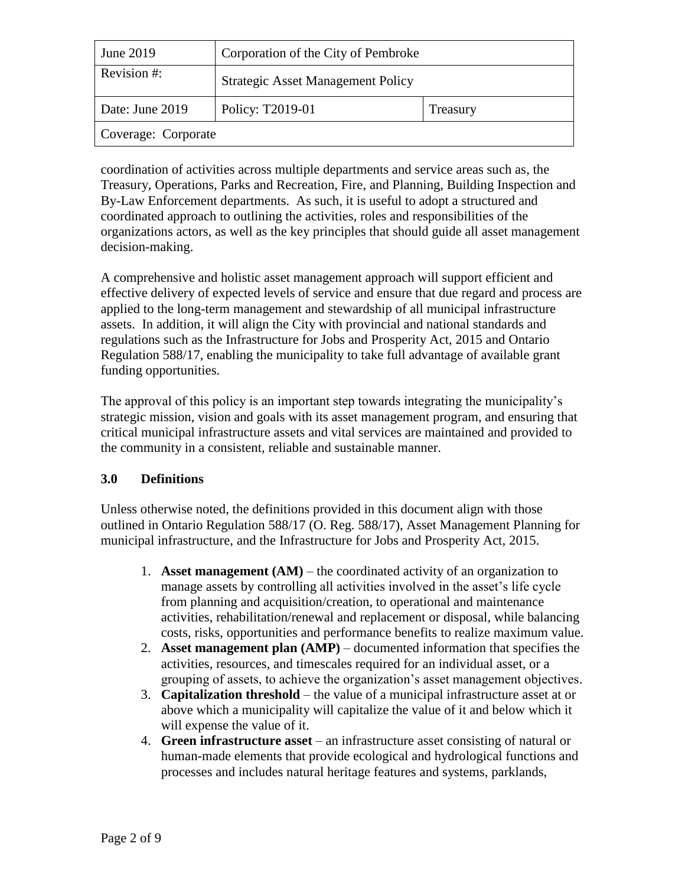| June 2019           | Corporation of the City of Pembroke      |          |
|---------------------|------------------------------------------|----------|
| Revision #:         | <b>Strategic Asset Management Policy</b> |          |
| Date: June 2019     | Policy: T2019-01                         | Treasury |
| Coverage: Corporate |                                          |          |

coordination of activities across multiple departments and service areas such as, the Treasury, Operations, Parks and Recreation, Fire, and Planning, Building Inspection and By-Law Enforcement departments. As such, it is useful to adopt a structured and coordinated approach to outlining the activities, roles and responsibilities of the organizations actors, as well as the key principles that should guide all asset management decision-making.

A comprehensive and holistic asset management approach will support efficient and effective delivery of expected levels of service and ensure that due regard and process are applied to the long-term management and stewardship of all municipal infrastructure assets. In addition, it will align the City with provincial and national standards and regulations such as the Infrastructure for Jobs and Prosperity Act, 2015 and Ontario Regulation 588/17, enabling the municipality to take full advantage of available grant funding opportunities.

The approval of this policy is an important step towards integrating the municipality's strategic mission, vision and goals with its asset management program, and ensuring that critical municipal infrastructure assets and vital services are maintained and provided to the community in a consistent, reliable and sustainable manner.

## **3.0 Definitions**

Unless otherwise noted, the definitions provided in this document align with those outlined in Ontario Regulation 588/17 (O. Reg. 588/17), Asset Management Planning for municipal infrastructure, and the Infrastructure for Jobs and Prosperity Act, 2015.

- 1. **Asset management (AM)** the coordinated activity of an organization to manage assets by controlling all activities involved in the asset's life cycle from planning and acquisition/creation, to operational and maintenance activities, rehabilitation/renewal and replacement or disposal, while balancing costs, risks, opportunities and performance benefits to realize maximum value.
- 2. **Asset management plan (AMP)** documented information that specifies the activities, resources, and timescales required for an individual asset, or a grouping of assets, to achieve the organization's asset management objectives.
- 3. **Capitalization threshold** the value of a municipal infrastructure asset at or above which a municipality will capitalize the value of it and below which it will expense the value of it.
- 4. **Green infrastructure asset** an infrastructure asset consisting of natural or human-made elements that provide ecological and hydrological functions and processes and includes natural heritage features and systems, parklands,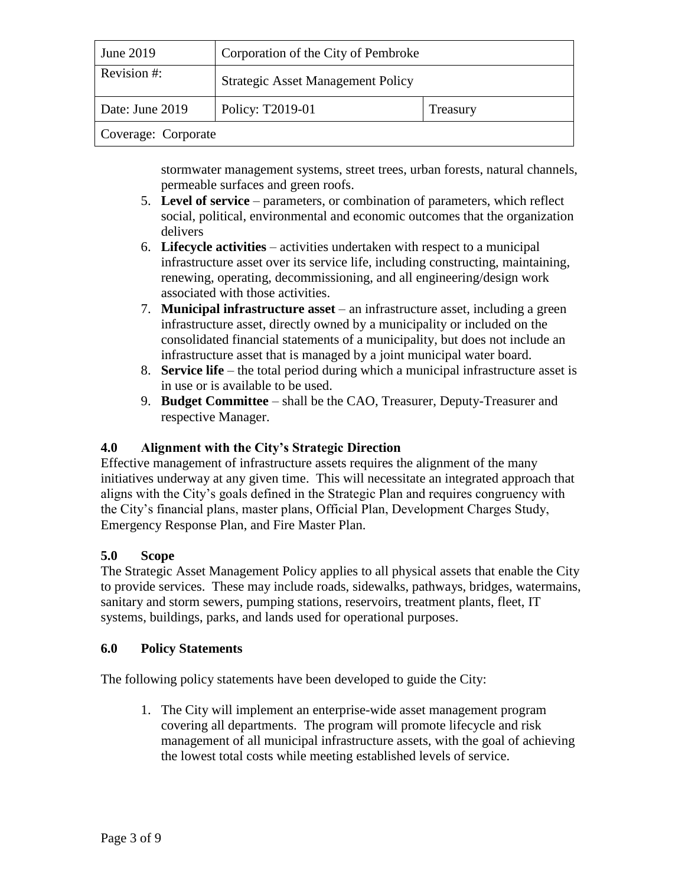| June 2019           | Corporation of the City of Pembroke      |          |
|---------------------|------------------------------------------|----------|
| Revision #:         | <b>Strategic Asset Management Policy</b> |          |
| Date: June 2019     | Policy: T2019-01                         | Treasury |
| Coverage: Corporate |                                          |          |

stormwater management systems, street trees, urban forests, natural channels, permeable surfaces and green roofs.

- 5. **Level of service** parameters, or combination of parameters, which reflect social, political, environmental and economic outcomes that the organization delivers
- 6. **Lifecycle activities** activities undertaken with respect to a municipal infrastructure asset over its service life, including constructing, maintaining, renewing, operating, decommissioning, and all engineering/design work associated with those activities.
- 7. **Municipal infrastructure asset** an infrastructure asset, including a green infrastructure asset, directly owned by a municipality or included on the consolidated financial statements of a municipality, but does not include an infrastructure asset that is managed by a joint municipal water board.
- 8. **Service life**  the total period during which a municipal infrastructure asset is in use or is available to be used.
- 9. **Budget Committee**  shall be the CAO, Treasurer, Deputy-Treasurer and respective Manager.

# **4.0 Alignment with the City's Strategic Direction**

Effective management of infrastructure assets requires the alignment of the many initiatives underway at any given time. This will necessitate an integrated approach that aligns with the City's goals defined in the Strategic Plan and requires congruency with the City's financial plans, master plans, Official Plan, Development Charges Study, Emergency Response Plan, and Fire Master Plan.

## **5.0 Scope**

The Strategic Asset Management Policy applies to all physical assets that enable the City to provide services. These may include roads, sidewalks, pathways, bridges, watermains, sanitary and storm sewers, pumping stations, reservoirs, treatment plants, fleet, IT systems, buildings, parks, and lands used for operational purposes.

## **6.0 Policy Statements**

The following policy statements have been developed to guide the City:

1. The City will implement an enterprise-wide asset management program covering all departments. The program will promote lifecycle and risk management of all municipal infrastructure assets, with the goal of achieving the lowest total costs while meeting established levels of service.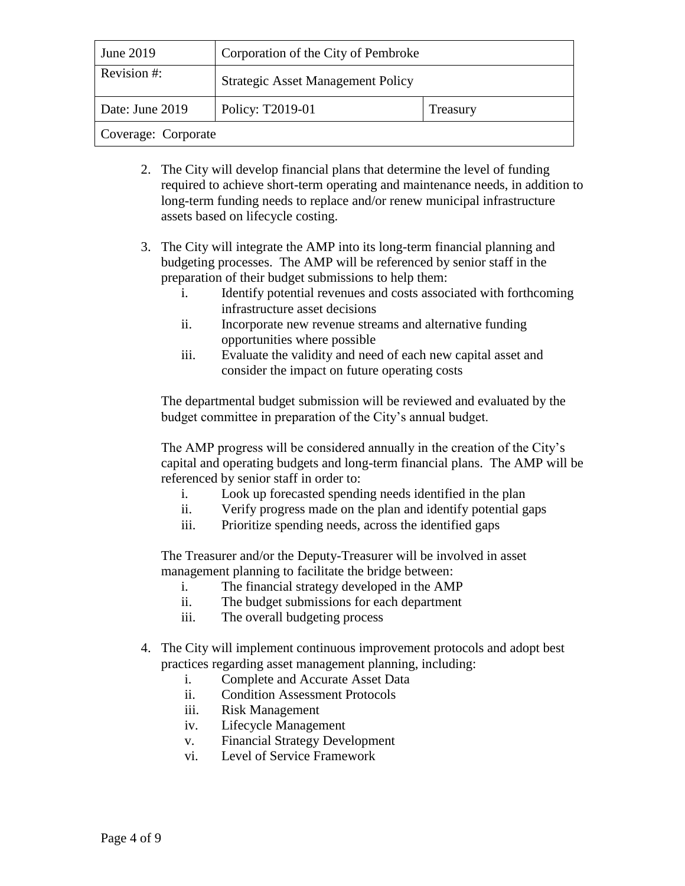| June 2019           | Corporation of the City of Pembroke      |          |
|---------------------|------------------------------------------|----------|
| Revision #:         | <b>Strategic Asset Management Policy</b> |          |
| Date: June 2019     | Policy: T2019-01                         | Treasury |
| Coverage: Corporate |                                          |          |

- 2. The City will develop financial plans that determine the level of funding required to achieve short-term operating and maintenance needs, in addition to long-term funding needs to replace and/or renew municipal infrastructure assets based on lifecycle costing.
- 3. The City will integrate the AMP into its long-term financial planning and budgeting processes. The AMP will be referenced by senior staff in the preparation of their budget submissions to help them:
	- i. Identify potential revenues and costs associated with forthcoming infrastructure asset decisions
	- ii. Incorporate new revenue streams and alternative funding opportunities where possible
	- iii. Evaluate the validity and need of each new capital asset and consider the impact on future operating costs

The departmental budget submission will be reviewed and evaluated by the budget committee in preparation of the City's annual budget.

The AMP progress will be considered annually in the creation of the City's capital and operating budgets and long-term financial plans. The AMP will be referenced by senior staff in order to:

- i. Look up forecasted spending needs identified in the plan
- ii. Verify progress made on the plan and identify potential gaps
- iii. Prioritize spending needs, across the identified gaps

The Treasurer and/or the Deputy-Treasurer will be involved in asset management planning to facilitate the bridge between:

- i. The financial strategy developed in the AMP
- ii. The budget submissions for each department
- iii. The overall budgeting process
- 4. The City will implement continuous improvement protocols and adopt best practices regarding asset management planning, including:
	- i. Complete and Accurate Asset Data
	- ii. Condition Assessment Protocols
	- iii. Risk Management
	- iv. Lifecycle Management
	- v. Financial Strategy Development
	- vi. Level of Service Framework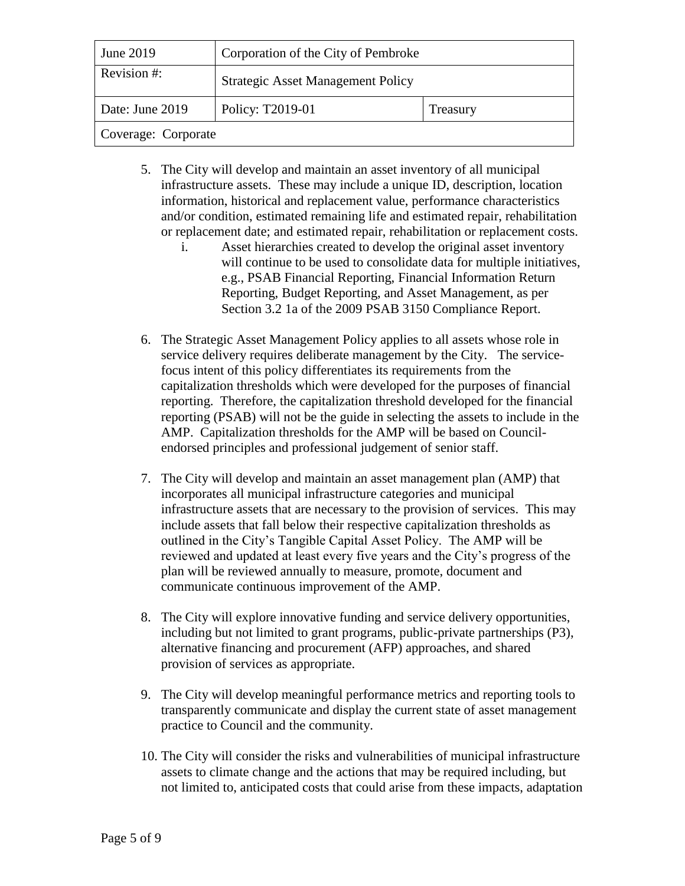| June 2019           | Corporation of the City of Pembroke      |          |
|---------------------|------------------------------------------|----------|
| Revision #:         | <b>Strategic Asset Management Policy</b> |          |
| Date: June 2019     | Policy: T2019-01                         | Treasury |
| Coverage: Corporate |                                          |          |

- 5. The City will develop and maintain an asset inventory of all municipal infrastructure assets. These may include a unique ID, description, location information, historical and replacement value, performance characteristics and/or condition, estimated remaining life and estimated repair, rehabilitation or replacement date; and estimated repair, rehabilitation or replacement costs.
	- i. Asset hierarchies created to develop the original asset inventory will continue to be used to consolidate data for multiple initiatives, e.g., PSAB Financial Reporting, Financial Information Return Reporting, Budget Reporting, and Asset Management, as per Section 3.2 1a of the 2009 PSAB 3150 Compliance Report.
- 6. The Strategic Asset Management Policy applies to all assets whose role in service delivery requires deliberate management by the City. The servicefocus intent of this policy differentiates its requirements from the capitalization thresholds which were developed for the purposes of financial reporting. Therefore, the capitalization threshold developed for the financial reporting (PSAB) will not be the guide in selecting the assets to include in the AMP. Capitalization thresholds for the AMP will be based on Councilendorsed principles and professional judgement of senior staff.
- 7. The City will develop and maintain an asset management plan (AMP) that incorporates all municipal infrastructure categories and municipal infrastructure assets that are necessary to the provision of services. This may include assets that fall below their respective capitalization thresholds as outlined in the City's Tangible Capital Asset Policy. The AMP will be reviewed and updated at least every five years and the City's progress of the plan will be reviewed annually to measure, promote, document and communicate continuous improvement of the AMP.
- 8. The City will explore innovative funding and service delivery opportunities, including but not limited to grant programs, public-private partnerships (P3), alternative financing and procurement (AFP) approaches, and shared provision of services as appropriate.
- 9. The City will develop meaningful performance metrics and reporting tools to transparently communicate and display the current state of asset management practice to Council and the community.
- 10. The City will consider the risks and vulnerabilities of municipal infrastructure assets to climate change and the actions that may be required including, but not limited to, anticipated costs that could arise from these impacts, adaptation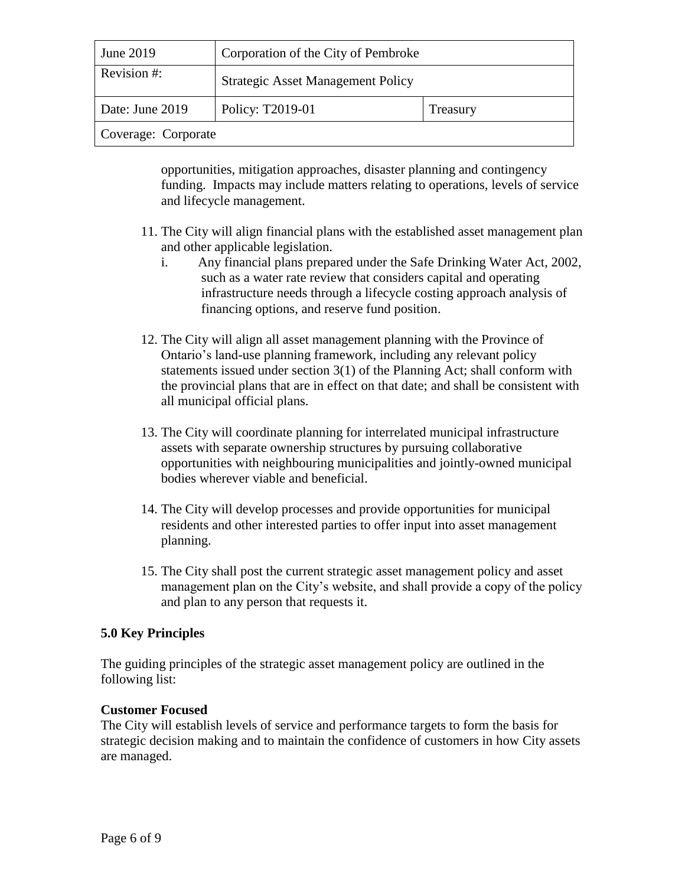| June 2019           | Corporation of the City of Pembroke      |          |
|---------------------|------------------------------------------|----------|
| Revision #:         | <b>Strategic Asset Management Policy</b> |          |
| Date: June 2019     | Policy: T2019-01                         | Treasury |
| Coverage: Corporate |                                          |          |

opportunities, mitigation approaches, disaster planning and contingency funding. Impacts may include matters relating to operations, levels of service and lifecycle management.

- 11. The City will align financial plans with the established asset management plan and other applicable legislation.
	- i. Any financial plans prepared under the Safe Drinking Water Act, 2002, such as a water rate review that considers capital and operating infrastructure needs through a lifecycle costing approach analysis of financing options, and reserve fund position.
- 12. The City will align all asset management planning with the Province of Ontario's land-use planning framework, including any relevant policy statements issued under section 3(1) of the Planning Act; shall conform with the provincial plans that are in effect on that date; and shall be consistent with all municipal official plans.
- 13. The City will coordinate planning for interrelated municipal infrastructure assets with separate ownership structures by pursuing collaborative opportunities with neighbouring municipalities and jointly-owned municipal bodies wherever viable and beneficial.
- 14. The City will develop processes and provide opportunities for municipal residents and other interested parties to offer input into asset management planning.
- 15. The City shall post the current strategic asset management policy and asset management plan on the City's website, and shall provide a copy of the policy and plan to any person that requests it.

## **5.0 Key Principles**

The guiding principles of the strategic asset management policy are outlined in the following list:

#### **Customer Focused**

The City will establish levels of service and performance targets to form the basis for strategic decision making and to maintain the confidence of customers in how City assets are managed.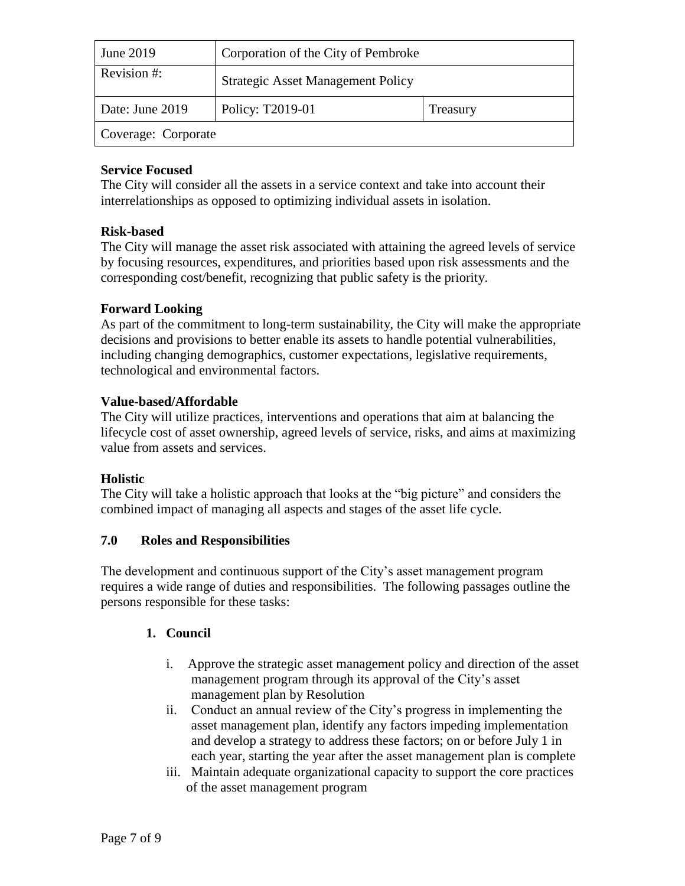| June 2019           | Corporation of the City of Pembroke      |          |
|---------------------|------------------------------------------|----------|
| Revision #:         | <b>Strategic Asset Management Policy</b> |          |
| Date: June 2019     | Policy: T2019-01                         | Treasury |
| Coverage: Corporate |                                          |          |

## **Service Focused**

The City will consider all the assets in a service context and take into account their interrelationships as opposed to optimizing individual assets in isolation.

## **Risk-based**

The City will manage the asset risk associated with attaining the agreed levels of service by focusing resources, expenditures, and priorities based upon risk assessments and the corresponding cost/benefit, recognizing that public safety is the priority.

## **Forward Looking**

As part of the commitment to long-term sustainability, the City will make the appropriate decisions and provisions to better enable its assets to handle potential vulnerabilities, including changing demographics, customer expectations, legislative requirements, technological and environmental factors.

## **Value-based/Affordable**

The City will utilize practices, interventions and operations that aim at balancing the lifecycle cost of asset ownership, agreed levels of service, risks, and aims at maximizing value from assets and services.

## **Holistic**

The City will take a holistic approach that looks at the "big picture" and considers the combined impact of managing all aspects and stages of the asset life cycle.

# **7.0 Roles and Responsibilities**

The development and continuous support of the City's asset management program requires a wide range of duties and responsibilities. The following passages outline the persons responsible for these tasks:

# **1. Council**

- i. Approve the strategic asset management policy and direction of the asset management program through its approval of the City's asset management plan by Resolution
- ii. Conduct an annual review of the City's progress in implementing the asset management plan, identify any factors impeding implementation and develop a strategy to address these factors; on or before July 1 in each year, starting the year after the asset management plan is complete
- iii. Maintain adequate organizational capacity to support the core practices of the asset management program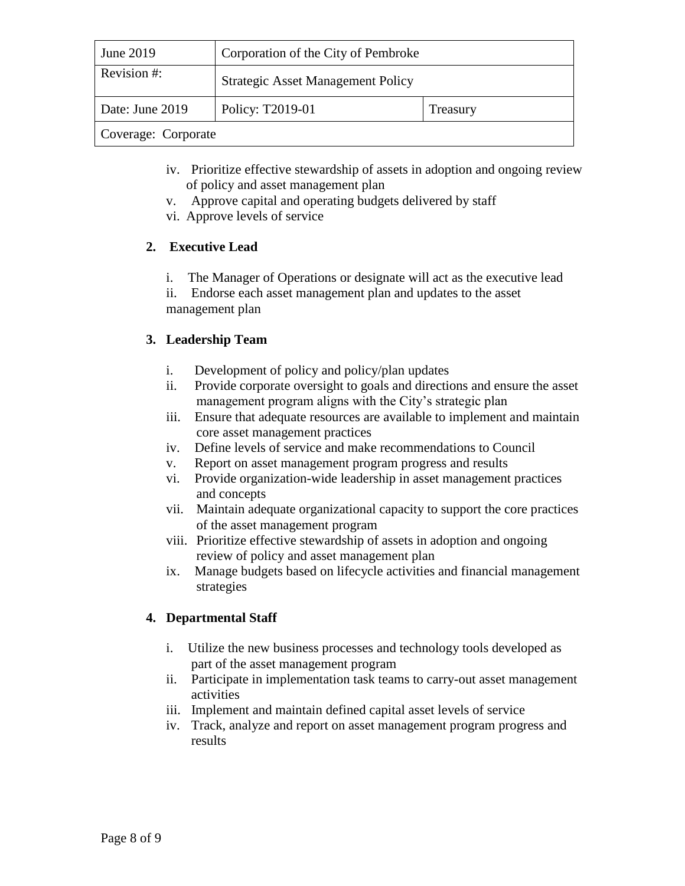| June 2019           | Corporation of the City of Pembroke      |          |
|---------------------|------------------------------------------|----------|
| Revision #:         | <b>Strategic Asset Management Policy</b> |          |
| Date: June 2019     | Policy: T2019-01                         | Treasury |
| Coverage: Corporate |                                          |          |

- iv. Prioritize effective stewardship of assets in adoption and ongoing review of policy and asset management plan
- v. Approve capital and operating budgets delivered by staff
- vi. Approve levels of service

# **2. Executive Lead**

i. The Manager of Operations or designate will act as the executive lead ii. Endorse each asset management plan and updates to the asset management plan

# **3. Leadership Team**

- i. Development of policy and policy/plan updates
- ii. Provide corporate oversight to goals and directions and ensure the asset management program aligns with the City's strategic plan
- iii. Ensure that adequate resources are available to implement and maintain core asset management practices
- iv. Define levels of service and make recommendations to Council
- v. Report on asset management program progress and results
- vi. Provide organization-wide leadership in asset management practices and concepts
- vii. Maintain adequate organizational capacity to support the core practices of the asset management program
- viii. Prioritize effective stewardship of assets in adoption and ongoing review of policy and asset management plan
- ix. Manage budgets based on lifecycle activities and financial management strategies

# **4. Departmental Staff**

- i. Utilize the new business processes and technology tools developed as part of the asset management program
- ii. Participate in implementation task teams to carry-out asset management activities
- iii. Implement and maintain defined capital asset levels of service
- iv. Track, analyze and report on asset management program progress and results